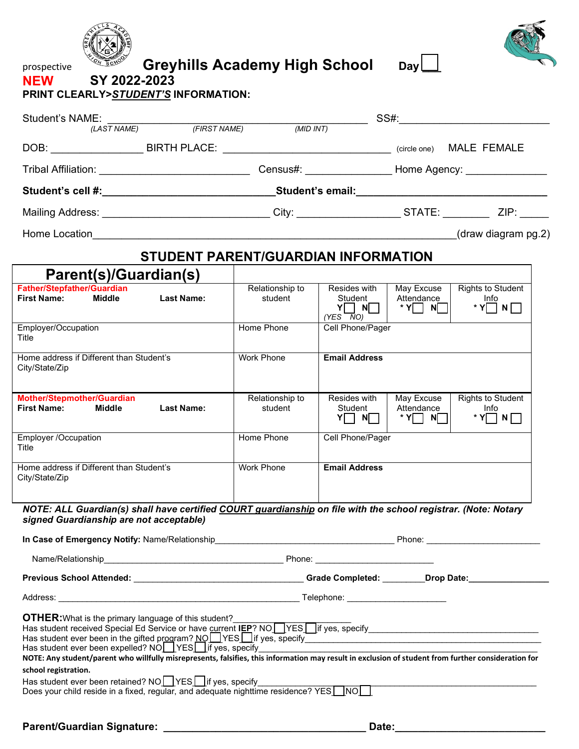



| prospective<br><b>NEW</b><br>PRINT CLEARLY>STUDENT'S INFORMATION:              | SY 2022-2023 |                   | <b>Greyhills Academy High School</b>                                                                                             |                                                   | Day                                                      |                                                                                                                                                                                                                                              |  |
|--------------------------------------------------------------------------------|--------------|-------------------|----------------------------------------------------------------------------------------------------------------------------------|---------------------------------------------------|----------------------------------------------------------|----------------------------------------------------------------------------------------------------------------------------------------------------------------------------------------------------------------------------------------------|--|
| <b>Student's NAME:</b>                                                         |              |                   | $\overline{X}$ $(MIDINT)$ $SS#$ :                                                                                                |                                                   |                                                          |                                                                                                                                                                                                                                              |  |
|                                                                                |              |                   |                                                                                                                                  |                                                   |                                                          |                                                                                                                                                                                                                                              |  |
|                                                                                |              |                   |                                                                                                                                  |                                                   |                                                          |                                                                                                                                                                                                                                              |  |
|                                                                                |              |                   |                                                                                                                                  |                                                   |                                                          |                                                                                                                                                                                                                                              |  |
|                                                                                |              |                   |                                                                                                                                  |                                                   |                                                          |                                                                                                                                                                                                                                              |  |
|                                                                                |              |                   |                                                                                                                                  |                                                   |                                                          | Mailing Address: _________________________________City: ____________________STATE: ___________ZIP: ______                                                                                                                                    |  |
|                                                                                |              |                   |                                                                                                                                  |                                                   |                                                          | (draw diagram pg.2)                                                                                                                                                                                                                          |  |
|                                                                                |              |                   | <b>STUDENT PARENT/GUARDIAN INFORMATION</b>                                                                                       |                                                   |                                                          |                                                                                                                                                                                                                                              |  |
| Parent(s)/Guardian(s)                                                          |              |                   |                                                                                                                                  |                                                   |                                                          |                                                                                                                                                                                                                                              |  |
| <b>Father/Stepfather/Guardian</b><br><b>First Name:</b>                        | Middle       | <b>Last Name:</b> | Relationship to<br>student                                                                                                       | Resides with<br>Student<br>$Y \cap N$<br>(YES NO) | May Excuse<br>Attendance<br>$\mathsf{Y} \cap \mathsf{N}$ | <b>Rights to Student</b><br>$\star$ Y N $\Box$                                                                                                                                                                                               |  |
| Employer/Occupation<br>Title                                                   |              |                   | Home Phone                                                                                                                       | Cell Phone/Pager                                  |                                                          |                                                                                                                                                                                                                                              |  |
| Home address if Different than Student's<br>City/State/Zip                     |              |                   | <b>Work Phone</b>                                                                                                                | <b>Email Address</b>                              |                                                          |                                                                                                                                                                                                                                              |  |
| Mother/Stepmother/Guardian<br><b>First Name:</b>                               | Middle       | <b>Last Name:</b> | Relationship to<br>student                                                                                                       | Resides with<br>Student<br>Y N T                  | May Excuse<br>Attendance<br>$*Y \cap N$                  | <b>Rights to Student</b><br>Info<br>$*$ $Y \cap N$                                                                                                                                                                                           |  |
| <b>Employer /Occupation</b><br>Title                                           |              |                   | Home Phone                                                                                                                       | Cell Phone/Pager                                  |                                                          |                                                                                                                                                                                                                                              |  |
| Home address if Different than Student's<br>City/State/Zip                     |              |                   | Work Phone                                                                                                                       | <b>Email Address</b>                              |                                                          |                                                                                                                                                                                                                                              |  |
| signed Guardianship are not acceptable)                                        |              |                   | NOTE: ALL Guardian(s) shall have certified COURT guardianship on file with the school registrar. (Note: Notary                   |                                                   |                                                          |                                                                                                                                                                                                                                              |  |
|                                                                                |              |                   |                                                                                                                                  |                                                   |                                                          |                                                                                                                                                                                                                                              |  |
|                                                                                |              |                   |                                                                                                                                  |                                                   |                                                          |                                                                                                                                                                                                                                              |  |
|                                                                                |              |                   |                                                                                                                                  |                                                   |                                                          |                                                                                                                                                                                                                                              |  |
|                                                                                |              |                   |                                                                                                                                  |                                                   |                                                          |                                                                                                                                                                                                                                              |  |
| <b>OTHER:</b> What is the primary language of this student?                    |              |                   | Has student ever been in the gifted program? NO YES if yes, specify<br>Has student ever been expelled? NOL YES I if yes, specify |                                                   |                                                          | Has student received Special Ed Service or have current IEP? NON YES Nif yes, specify<br>NOTE: Any student/parent who willfully misrepresents, falsifies, this information may result in exclusion of student from further consideration for |  |
| school registration.<br>Has student ever been retained? NO VES if yes, specify |              |                   | Does your child reside in a fixed, regular, and adequate nighttime residence? YES NO                                             |                                                   |                                                          |                                                                                                                                                                                                                                              |  |